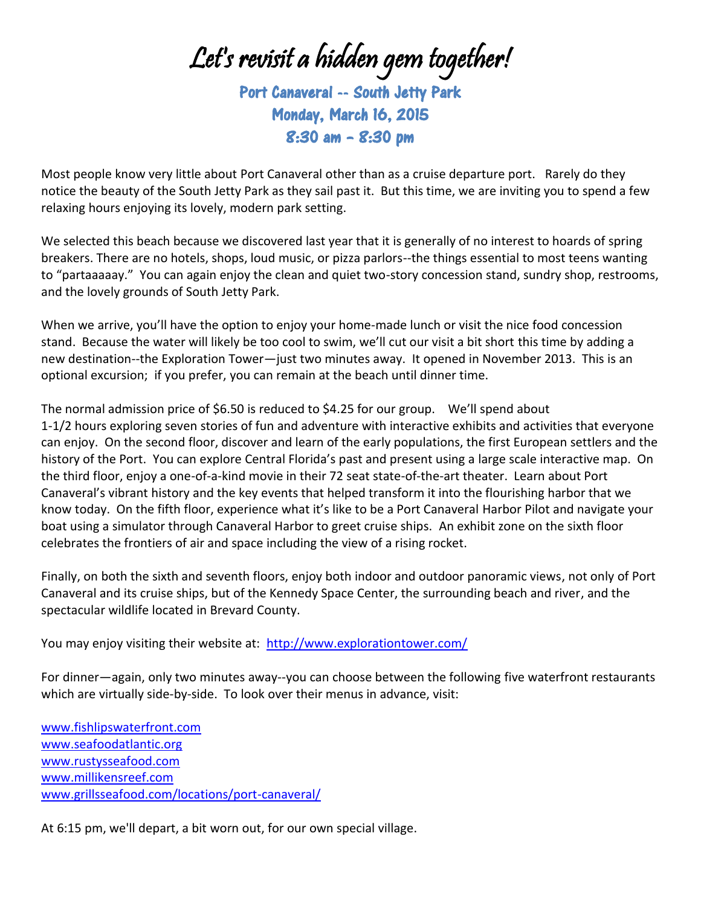Let's revisit a hidden gem together!

Port Canaveral -- South Jetty Park Monday, March 16, 2015 8:30 am – 8:30 pm

Most people know very little about Port Canaveral other than as a cruise departure port. Rarely do they notice the beauty of the South Jetty Park as they sail past it. But this time, we are inviting you to spend a few relaxing hours enjoying its lovely, modern park setting.

We selected this beach because we discovered last year that it is generally of no interest to hoards of spring breakers. There are no hotels, shops, loud music, or pizza parlors--the things essential to most teens wanting to "partaaaaay." You can again enjoy the clean and quiet two-story concession stand, sundry shop, restrooms, and the lovely grounds of South Jetty Park.

When we arrive, you'll have the option to enjoy your home-made lunch or visit the nice food concession stand. Because the water will likely be too cool to swim, we'll cut our visit a bit short this time by adding a new destination--the Exploration Tower—just two minutes away. It opened in November 2013. This is an optional excursion; if you prefer, you can remain at the beach until dinner time.

The normal admission price of \$6.50 is reduced to \$4.25 for our group. We'll spend about 1-1/2 hours exploring seven stories of fun and adventure with interactive exhibits and activities that everyone can enjoy. On the second floor, discover and learn of the early populations, the first European settlers and the history of the Port. You can explore Central Florida's past and present using a large scale interactive map. On the third floor, enjoy a one-of-a-kind movie in their 72 seat state-of-the-art theater. Learn about Port Canaveral's vibrant history and the key events that helped transform it into the flourishing harbor that we know today. On the fifth floor, experience what it's like to be a Port Canaveral Harbor Pilot and navigate your boat using a simulator through Canaveral Harbor to greet cruise ships. An exhibit zone on the sixth floor celebrates the frontiers of air and space including the view of a rising rocket.

Finally, on both the sixth and seventh floors, enjoy both indoor and outdoor panoramic views, not only of Port Canaveral and its cruise ships, but of the Kennedy Space Center, the surrounding beach and river, and the spectacular wildlife located in Brevard County.

You may enjoy visiting their website at: <http://www.explorationtower.com/>

For dinner—again, only two minutes away--you can choose between the following five waterfront restaurants which are virtually side-by-side. To look over their menus in advance, visit:

[www.fishlipswaterfront.com](http://www.fishlipswaterfront.com/) www.seafoodatlantic.org www.rustysseafood.com www.millikensreef.com www.grillsseafood.com/locations/port-canaveral/

At 6:15 pm, we'll depart, a bit worn out, for our own special village.